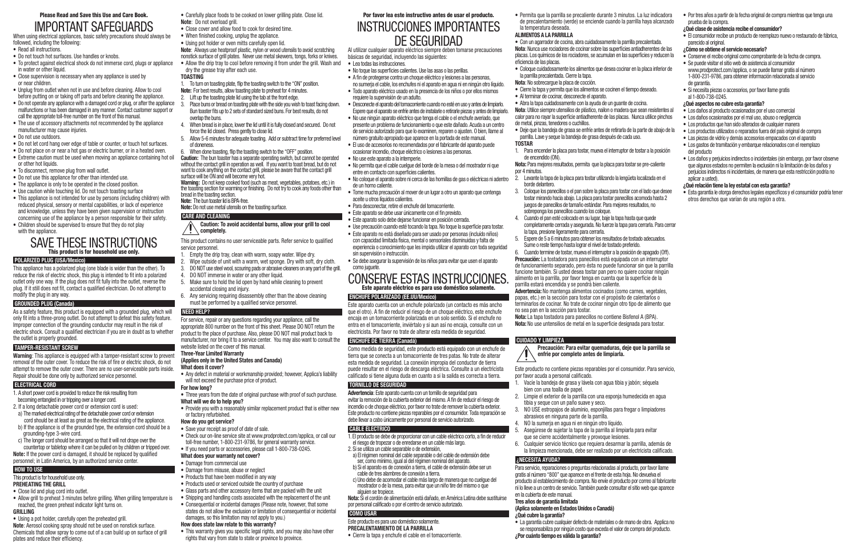# Please Read and Save this Use and Care Book. IMPORTANT SAFEGUARDS

When using electrical appliances, basic safety precautions should always be followed, including the following:

- Read all instructions.
- Do not touch hot surfaces. Use handles or knobs.
- To protect against electrical shock do not immerse cord, plugs or appliance in water or other liquid.
- Close supervision is necessary when any appliance is used by or near children.
- Unplug from outlet when not in use and before cleaning. Allow to cool before putting on or taking off parts and before cleaning the appliance.
- Do not operate any appliance with a damaged cord or plug, or after the appliance malfunctions or has been damaged in any manner. Contact customer support or call the appropriate toll-free number on the front of this manual.
- The use of accessory attachments not recommended by the appliance manufacturer may cause injuries.
- Do not use outdoors.
- Do not let cord hang over edge of table or counter, or touch hot surfaces.
- Do not place on or near a hot gas or electric burner, or in a heated oven.
- Extreme caution must be used when moving an appliance containing hot oil
- or other hot liquids. • To disconnect, remove plug from wall outlet.
- Do not use this appliance for other than intended use.
- The appliance is only to be operated in the closed position.
- Use caution while touching lid. Do not touch toasting surface
- This appliance is not intended for use by persons (including children) with reduced physical, sensory or mental capabilities, or lack of experience and knowledge, unless they have been given supervision or instruction concerning use of the appliance by a person responsible for their safety.
- Children should be supervised to ensure that they do not play with the appliance.

# SAVE THESE INSTRUCTIONS This product is for household use only.

# **POLARIZED PLUG (USA/Mexico)**

This appliance has a polarized plug (one blade is wider than the other). To reduce the risk of electric shock, this plug is intended to fit into a polarized outlet only one way. If the plug does not fit fully into the outlet, reverse the plug. If it still does not fit, contact a qualified electrician. Do not attempt to modify the plug in any way.

- Close lid and plug cord into outlet.
- Allow grill to preheat 3 minutes before grilling. When grilling temperature is reached, the green preheat indicator light turns on.
- **GRILLING**
- Using a pot holder, carefully open the preheated grill.
- **Note**: Aerosol cooking spray should not be used on nonstick surface. Chemicals that allow spray to come out of a can build up on surface of grill plates and reduce their efficiency.

# **GROUNDED PLUG (Canada)**

- Carefully place foods to be cooked on lower grilling plate. Close lid. **Note**: Do not overload grill.
- Close cover and allow food to cook for desired time.
- • When finished cooking, unplug the appliance.
- Using pot holder or oven mitts carefully open lid.
- **Note**: Always use heatproof plastic, nylon or wood utensils to avoid scratching nonstick surface of grill plates. Never use metal skewers, tongs, forks or knives. • Allow the drip tray to cool before removing it from under the grill. Wash and dry the grease tray after each use.

As a safety feature, this product is equipped with a grounded plug, which will only fit into a three-prong outlet. Do not attempt to defeat this safety feature. Improper connection of the grounding conductor may result in the risk of electric shock. Consult a qualified electrician if you are in doubt as to whether the outlet is properly grounded.

# **TAMPER-RESISTANT SCREW**

**Warning**: This appliance is equipped with a tamper-resistant screw to prevent removal of the outer cover. To reduce the risk of fire or electric shock, do not attempt to remove the outer cover. There are no user-serviceable parts inside. Repair should be done only by authorized service personnel.

# **ELECTRICAL CORD**

- 1. A short power cord is provided to reduce the risk resulting from becoming entangled in or tripping over a longer cord.
- 2. If a long detachable power cord or extension cord is used: a) The marked electrical rating of the detachable power cord or extension
- cord should be at least as great as the electrical rating of the appliance. b) If the appliance is of the grounded type, the extension cord should be a
- grounding-type 3-wire cord. c) The longer cord should be arranged so that it will not drape over the countertop or tabletop where it can be pulled on by children or tripped over.
- **Note:** If the power cord is damaged, it should be replaced by qualified personnel; in Latin America, by an authorized service center.

# **HOW TO US**

#### This product is for household use only. **PREHEATING THE GRILL**

- Three years from the date of original purchase with proof of such purchase. **What will we do to help you?**
- Provide you with a reasonably similar replacement product that is either new or factory refurbished.
- **How do you get service?**
- Save your receipt as proof of date of sale.
- Check our on-line service site at www.prodprotect.com/applica, or call our toll-free number, 1-800-231-9786, for general warranty service.
- If you need parts or accessories, please call 1-800-738-0245. **What does your warranty not cover?**

# • Damage from commercial use

• This warranty gives you specific legal rights, and you may also have other rights that vary from state to state or province to province.

# **TOASTING**

- Lea todas las instrucciones.
- No toque las superficies calientes. Use las asas o las perillas.
- • A fin de protegerse contra un choque eléctrico y lesiones a las personas, no sumerja el cable, los enchufes ni el aparato en agua ni en ningún otro líquido.
- • Todo aparato eléctrico usado en la presencia de los niños o por ellos mismos requiere la supervisión de un adulto.
- • Desconecte el aparato del tomacorriente cuando no esté en uso y antes de limpiarlo. Espere que el aparato se enfríe antes de instalarle o retirarle piezas y antes de limpiarlo.
- • No use ningún aparato eléctrico que tenga el cable o el enchufe averiado, que presente un problema de funcionamiento o que este dañado. Acuda a un centro de servicio autorizado para que lo examinen, reparen o ajusten. O bien, llame al número gratuito apropiado que aparece en la portada de este manual.
- • El uso de accesorios no recomendados por el fabricante del aparato puede ocasionar incendio, choque eléctrico o lesiones a las personas. • No use este aparato a la intemperie.
- • No permita que el cable cuelgue del borde de la mesa o del mostrador ni que entre en contacto con superficies calientes.
- • No coloque el aparato sobre ni cerca de las hornillas de gas o eléctricas ni adentro de un horno caliente.
- • Tome mucha precaución al mover de un lugar a otro un aparato que contenga aceite u otros líquidos calientes. • Para desconectar, retire el enchufe del tomacorriente.

• Este aparato se debe usar únicamente con el fin previsto. • Este aparato solo debe dejarse funcionar en posición cerrada.

- 1. To turn on toasting plate, flip the toasting switch to the "ON" position.
- **Note:** For best results, allow toasting plate to preheat for 4 minutes.
- 2. Lift up the toasting plate lid using the tab at the front edge.
- 3. Place buns or bread on toasting plate with the side you wish to toast facing down. Bun toaster fits up to 2 sets of standard sized buns. For best results, do not overlap the buns.
- 4. When bread is in place, lower the lid until it is fully closed and secured. Do not force the lid closed. Press gently to close lid.
- 5. Allow 5-6 minutes for adequate toasting. Add or subtract time for preferred level of doneness.
- 6. When done toasting, flip the toasting switch to the "OFF" position.
- **Caution:** The bun toaster has a separate operating switch, but cannot be operated without the contact grill in operation as well. If you want to toast bread, but do not want to cook anything on the contact grill, please be aware that the contact grill surface will be ON and will become very hot.
- **Warning:** Do not keep cooked food (such as meat, vegetables, potatoes, etc.) in the toasting section for warming or finishing. Do not try to cook any foods other than bread in the toasting section.
- **Note:** The bun toaster lid is BPA-free.
- **Note:** Do not use metal utensils on the toasting surface.

# **CARE AND CLEANING**

#### **Caution: To avoid accidental burns, allow your grill to cool completely.**

This product contains no user serviceable parts. Refer service to qualified service personnel.

- 1. Empty the drip tray, clean with warm, soapy water. Wipe dry.
- 2. Wipe outside of unit with a warm, wet sponge. Dry with soft, dry cloth.
- 3. DO NOT use steel wool, scouring pads or abrasive cleaners on any part of the grill.
- 4. DO NOT immerse in water or any other liquid.
- 5. Make sure to hold the lid open by hand while cleaning to prevent accidental closing and injury.
- 6. Any servicing requiring disassembly other than the above cleaning must be performed by a qualified service personnel.

# **NEED HELP?**

For service, repair or any questions regarding your appliance, call the appropriate 800 number on the front of this sheet. Please DO NOT return the product to the place of purchase. Also, please DO NOT mail product back to manufacturer, nor bring it to a service center. You may also want to consult the website listed on the cover of this manual.

- Con un agarrador de cocina, abra cuidadosamente la parrilla precalentada. **Nota**: Nunca use rociadores de cocinar sobre las superficies antiadherentes de las placas. Los químicos de los rociadores, se acumulan en las superficies y reducen la
- • Coloque cuidadosamente los alimentos que desea cocinar en la placa inferior de
- • Cierre la tapa y permita que los alimentos se cocinen el tiempo deseado.
- • Abra la tapa cuidadosamente con la ayuda de un guante de cocina.

# **Three-Year Limited Warranty**

# **(Applies only in the United States and Canada)**

- **What does it cover?**
- Any defect in material or workmanship provided; however, Applica's liability will not exceed the purchase price of product.

# **For how long?**

- • Damage from misuse, abuse or neglect
- Products that have been modified in any way
- Products used or serviced outside the country of purchase
- 
- Glass parts and other accessory items that are packed with the unit
- Shipping and handling costs associated with the replacement of the unit
- Consequential or incidental damages (Please note, however, that some states do not allow the exclusion or limitation of consequential or incidental damages, so this limitation may not apply to you.)

## **How does state law relate to this warranty?**

# Por favor lea este instructivo antes de usar el producto. INSTRUCCIONES IMPORTANTES DE SEGURIDAD

Al utilizar cualquier aparato eléctrico siempre deben tomarse precauciones básicas de seguridad, incluyendo las siguientes:

- Por tres años a partir de la fecha original de compra mientras que tenga una prueba de la compra.
- **¿Qué clase de asistencia recibe el consumidor?**
- · El consumidor recibe un producto de reemplazo nuevo o restaurado de fábrica, parecido al original.
- **¿Cómo se obtiene el servicio necesario?**
- • Conserve el recibo original como comprobante de la fecha de compra.
- • Se puede visitar el sitio web de asistencia al consumidor www.prodprotect.com/applica, o se puede llamar gratis al número 1-800-231-9786, para obtener información relacionada al servicio de garantía.
- Si necesita piezas o accesorios, por favor llame gratis al 1-800-738-0245.
- **¿Qué aspectos no cubre esta garantía?**
- • Los daños al producto ocasionados por el uso comercial
- Los daños ocasionados por el mal uso, abuso o negligencia
- Los productos que han sido alterados de cualquier manera
- • Los productos utilizados o reparados fuera del país original de compra
- • Las piezas de vidrio y demás accesorios empacados con el aparato
- • Los gastos de tramitación y embarque relacionados con el reemplazo del producto
- • Los daños y perjuicios indirectos o incidentales (sin embargo, por favor observe que algunos estados no permiten la exclusión ni la limitación de los daños y perjuicios indirectos ni incidentales, de manera que esta restricción podría no aplicar a usted).
- **¿Qué relación tiene la ley estatal con esta garantía?**
- • Esta garantía le otorga derechos legales específicos y el consumidor podría tener otros derechos que varían de una región a otra.

• Use precaución cuando esté tocando la tapa. No toque la superficie para tostar. • Este aparato no está diseñado para ser usado por personas (incluído niños) con capacidad limitada física, mental o sensoriales disminuidas y falta de experiencia o conocimiento que les impida utilizar el aparato con toda seguridad

sin supervisión o instrucción.

• Se debe asegurar la supervisión de los niños para evitar que usen el aparato

como juguete.

CONSERVE ESTAS INSTRUCCIONES. Este aparato eléctrico es para uso doméstico solamente.

**ENCHUFE POLARIZADO (EE.UU/Mexico)**

Este aparato cuenta con un enchufe polarizado (un contacto es más ancho que el otro). A fin de reducir el riesgo de un choque eléctrico, este enchufe encaja en un tomacorriente polarizada en un solo sentido. Si el enchufe no entra en el tomacorriente, inviértalo y si aun así no encaja, consulte con un electricista. Por favor no trate de alterar esta medida de seguridad.

**ENCHUFE DE TIERRA (Canadá)**

Como medida de seguridad, este producto está equipado con un enchufe de tierra que se conecta a un tomacorriente de tres patas. No trate de alterar esta medida de seguridad. La conexión impropia del conductor de tierra puede resultar en el riesgo de descarga eléctrica. Consulte a un electricista calificado si tiene alguna duda en cuanto a si la salida es correcta a tierra.

**TORNILLO DE SEGURIDAD**

**Advertencia**: Este aparato cuenta con un tornillo de seguridad para evitar la remoción de la cubierta exterior del mismo. A fin de reducir el riesgo de incendio o de choque eléctrico, por favor no trate de remover la cubierta exterior. Este producto no contiene piezas reparables por el consumidor. Toda reparación se

debe llevar a cabo únicamente por personal de servicio autorizado.

**CABLE ÉLECTRICO**

alguien se tropiece.

1. El producto se debe de proporcionar con un cable eléctrico corto, a fin de reducir

el riesgo de tropezar o de enredarse en un cable más largo.

2. Si se utiliza un cable separable o de extensión,

a) El régimen nominal del cable separable o del cable de extensión debe ser, como mínimo, igual al del régimen nominal del aparato. b) Si el aparato es de conexión a tierra, el cable de extensión debe ser un

cable de tres alambres de conexión a tierra.

c) Uno debe de acomodar el cable más largo de manera que no cuelgue del mostrador o de la mesa, para evitar que un niño tire del mismo o que

**Nota:** Si el cordón de alimentación está dañado, en América Latina debe sustituirse

por personal calificado o por el centro de servicio autorizado.

**COMO USAR**

Este producto es para uso doméstico solamente. **PRECALENTAMIENTO DE LA PARRILLA**

• Cierre la tapa y enchufe el cable en el tomacorriente.

• Permita que la parrilla se precaliente durante 3 minutos. La luz indicadora de precalentamiento (verde) se enciende cuando la parrilla haya alcanzado

la temperatura deseada. **ALIMENTOS A LA PARRILLA**

eficiencia de las placas.

la parrilla precalentada. Cierre la tapa. **Nota**: No sobrecargue la placa de cocción.

• Al terminar de cocinar, desconecte el aparato.

de metal, pinzas, tenedores o cuchillos.

**TOSTAR**

de encendido (ON).

por 4 minutos.

borde delantero.

sobreponga los panecillos cuando los coloque.

- **Nota**: Utilice siempre utensilios de plástico, nailon o madera que sean resistentes al calor para no rayar la superficie antiadherente de las placas. Nunca utilice pinchos
- • Deje que la bandeja de grasa se enfríe antes de retirarla de la parte de abajo de la parrilla. Lave y seque la bandeja de grasa después de cada uso.
- 1. Para encender la placa para tostar, mueva el interruptor de tostar a la posición
- **Nota:** Para mejores resultados, permita que la placa para tostar se pre-caliente
- 2. Levante la tapa de la placa para tostar utilizando la lengüeta localizada en el
- 3. Coloque los panecillos o el pan sobre la placa para tostar con el lado que desee tostar mirando hacia abajo. La placa para tostar panecillos acomoda hasta 2 juegos de panecillos de tamaño estándar. Para mejores resultados, no
- 4. Cuando el pan esté colocado en su lugar, baje la tapa hasta que quede completamente cerrada y asegurada. No fuerze la tapa para cerrarla. Para cerrar
- 5. Espere de 5 a 6 minutos para obtener los resultados de tostado adecuados. Sume o reste tiempo hasta lograr el nivel de tostado preferido.
- 6. Cuando termine de tostar, mueva el interruptor a la posición de apagado (Off). **Precaución:** La tostadora para panecillos está equipada con un interruptor de funcionamiento separado, pero ésta no puede funcionar sin que la parrilla funcione también. Si usted desea tostar pan pero no quiere cocinar ningún alimento en la parrilla, por favor tenga en cuenta que la superficie de la
- **Advertencia:** No mantenga alimentos cocinados (como carnes, vegetales, papas, etc.) en la sección para tostar con el propósito de calentarlos o terminarlos de cocinar. No trate de cocinar ningún otro tipo de alimento que
- **Nota:** La tapa tostadora para panecillos no contiene Bisfenol A (BPA). **Nota:** No use untensilios de metal en la superficie designada para tostar.

la tapa, presione ligeramente para cerrarla.

parrilla estará encendida y se pondrá bien caliente.

no sea pan en la sección para tostar.

**CUIDADO Y LIMPIEZA**

# **Precaución: Para evitar quemaduras, deje que la parrilla se**

**enfrie por completo antes de limpiarla.**

por favor acuda a personal calificado.

bien con una toalla de papel.

tibia y seque con un paño suave y seco.

 abrasivos en ninguna parte de la parrilla. 4. NO la sumerja en agua ni en ningún otro líquido.

- Este producto no contiene piezas reparables por el consumidor. Para servicio,
- 1. Vacíe la bandeja de grasa y lávela con agua tibia y jabón; séquela
- 2. Limpie el exterior de la parrilla con una esponja humedecida en agua
- 3. NO USE estropajos de aluminio, esponjillas para fregar o limpiadores
- 5. Asegúrese de sujetar la tapa de la parrilla al limpiarla para evitar que se cierre accidentalmente y provoque lesiones.
- 6. Cualquier servicio técnico que requiera desarmar la parrilla, además de la limpieza mencionada, debe ser realizado por un electricista calificado.
- Para servicio, reparaciones o preguntas relacionadas al producto, por favor llame gratis al número "800" que aparece en el frente de esta hoja. No devuelva el producto al establecimiento de compra. No envíe el producto por correo al fabricante ni lo lleve a un centro de servicio. También puede consultar el sitio web que aparece
- • La garantía cubre cualquier defecto de materiales o de mano de obra. Applica no se responsabiliza por ningún costo que exceda el valor de compra del producto.

**¿NECESITA AYUDA?**

en la cubierta de este manual. **Tres años de garantía limitada**

**(Aplica solamente en Estados Unidos o Canadá)**

**¿Qué cubre la garantía?**

**¿Por cuánto tiempo es válida la garantía?**